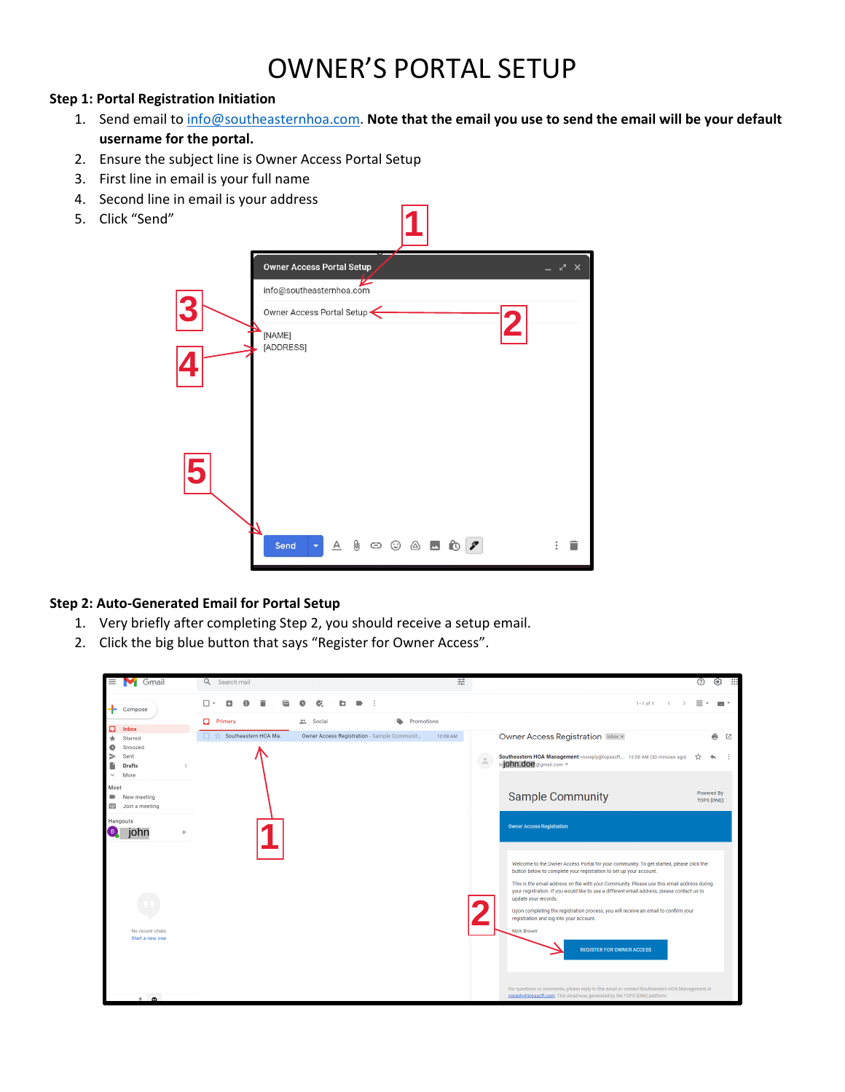# OWNER'S PORTAL SETUP

## **Step 1: Portal Registration Initiation**

- 1. Send email t[o info@southeasternhoa.com.](mailto:info@southeasternhoa.com) **Note that the email you use to send the email will be your default username for the portal.**
- 2. Ensure the subject line is Owner Access Portal Setup
- 3. First line in email is your full name
- 4. Second line in email is your address
- 5. Click "Send"



## **Step 2: Auto-Generated Email for Portal Setup**

- 1. Very briefly after completing Step 2, you should receive a setup email.
- 2. Click the big blue button that says "Register for Owner Access".

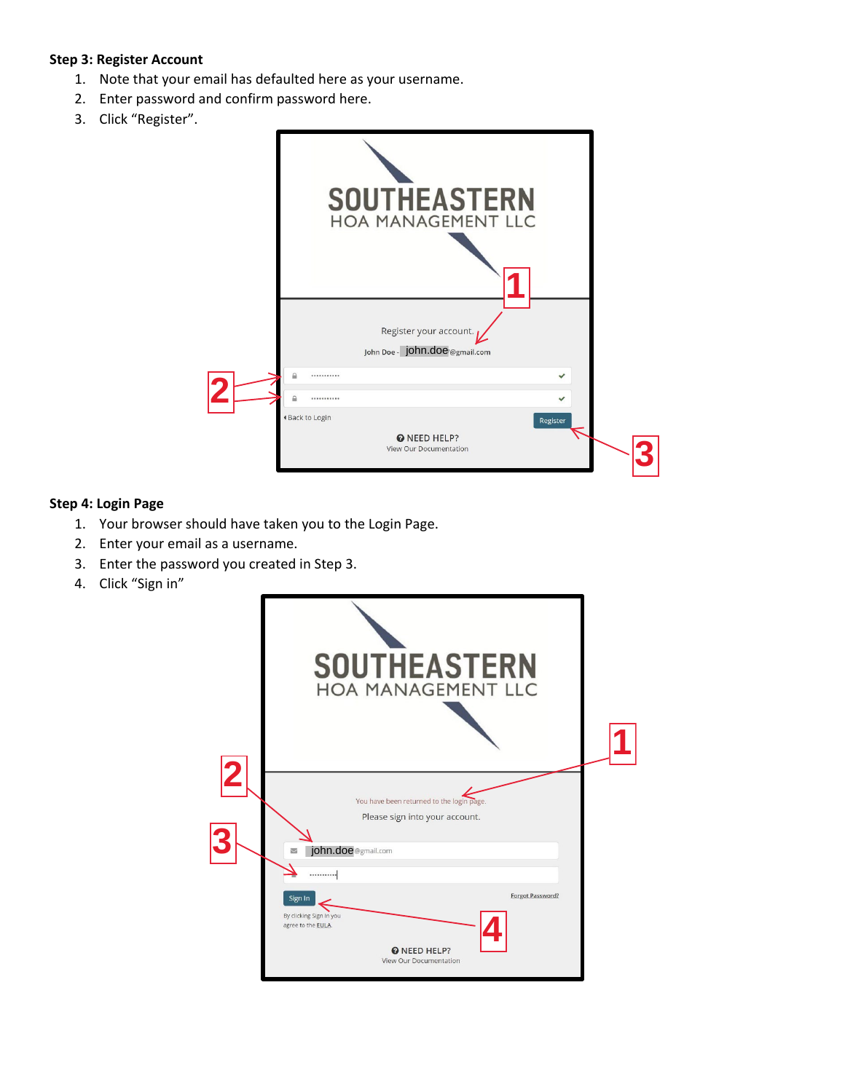### **Step 3: Register Account**

- 1. Note that your email has defaulted here as your username.
- 2. Enter password and confirm password here.
- 3. Click "Register".



## **Step 4: Login Page**

- 1. Your browser should have taken you to the Login Page.
- 2. Enter your email as a username.
- 3. Enter the password you created in Step 3.
- 4. Click "Sign in"

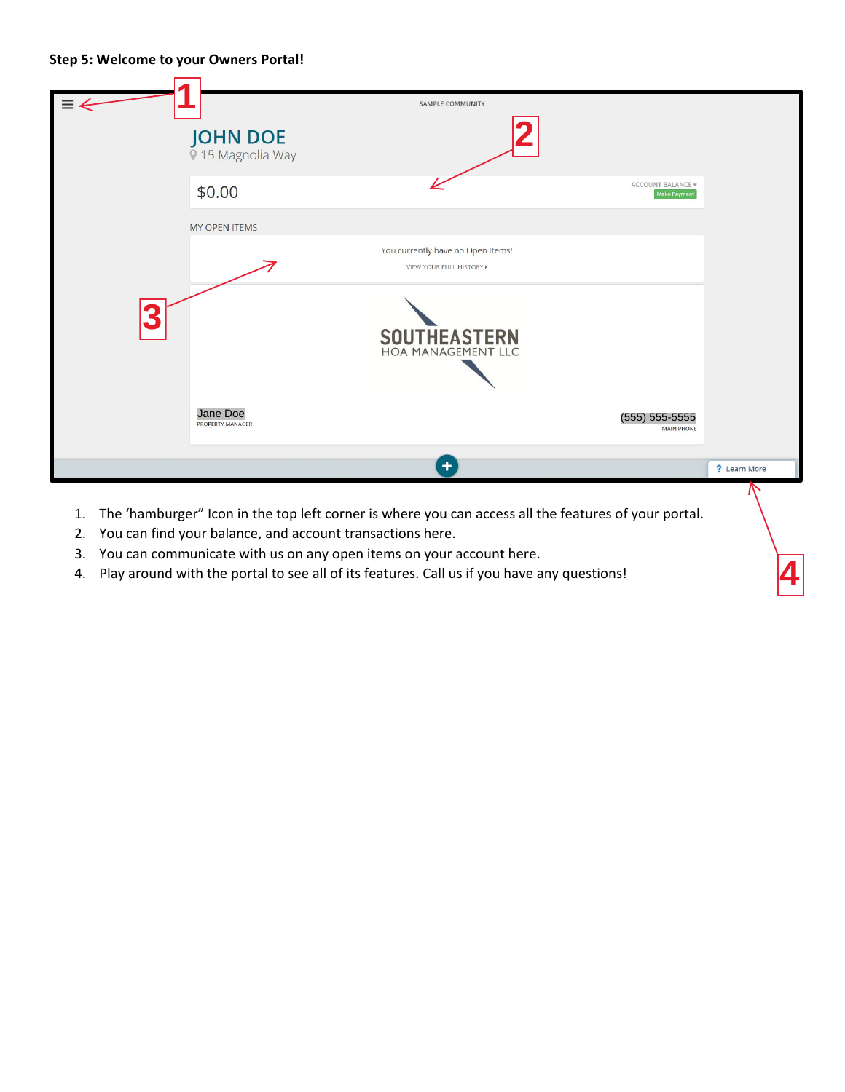### **Step 5: Welcome to your Owners Portal!**



**4**

- 2. You can find your balance, and account transactions here.
- 3. You can communicate with us on any open items on your account here.
- 4. Play around with the portal to see all of its features. Call us if you have any questions!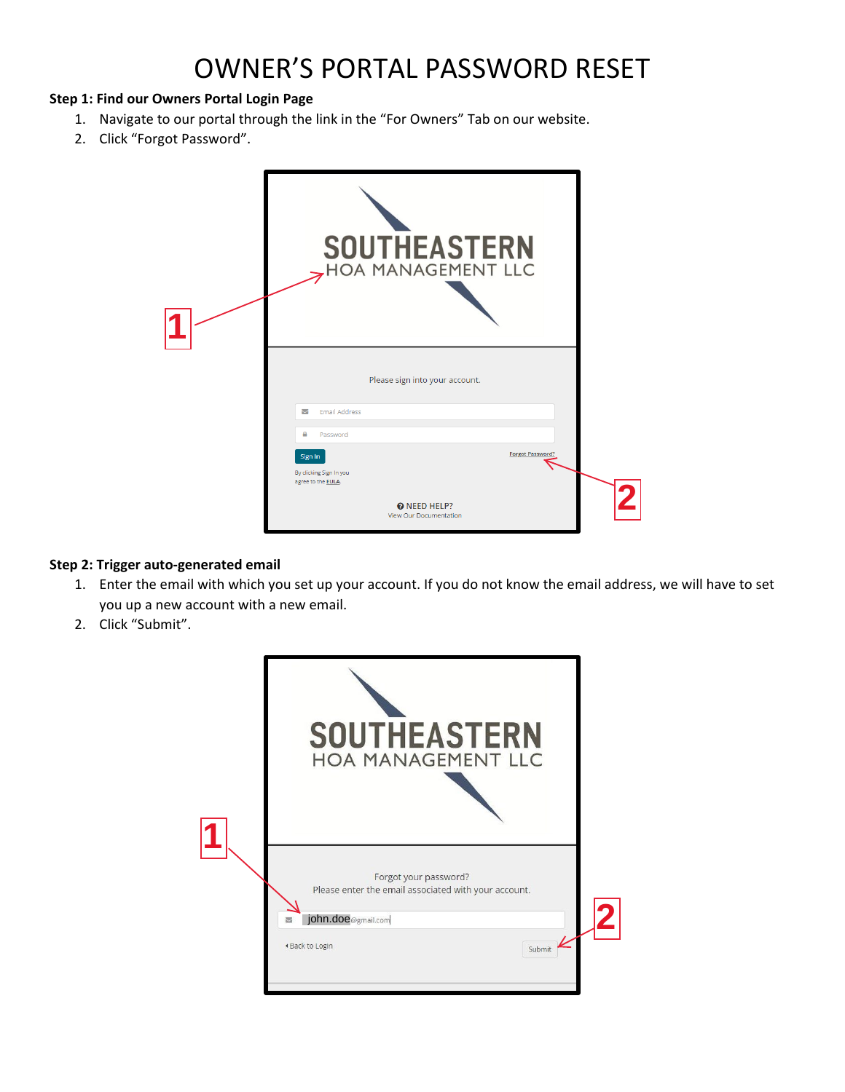# OWNER'S PORTAL PASSWORD RESET

## **Step 1: Find our Owners Portal Login Page**

- 1. Navigate to our portal through the link in the "For Owners" Tab on our website.
- 2. Click "Forgot Password".

| <b>SOUTHEASTERN</b><br>HOA MANAGEMENT LLC                |  |
|----------------------------------------------------------|--|
| Please sign into your account.                           |  |
| <b>Email Address</b><br>▽                                |  |
| ₽<br>Password<br><b>Forgot Password</b>                  |  |
| Sign In<br>By clicking Sign In you<br>agree to the EULA. |  |
| @ NEED HELP?<br><b>View Our Documentation</b>            |  |

## **Step 2: Trigger auto-generated email**

- 1. Enter the email with which you set up your account. If you do not know the email address, we will have to set you up a new account with a new email.
- 2. Click "Submit".

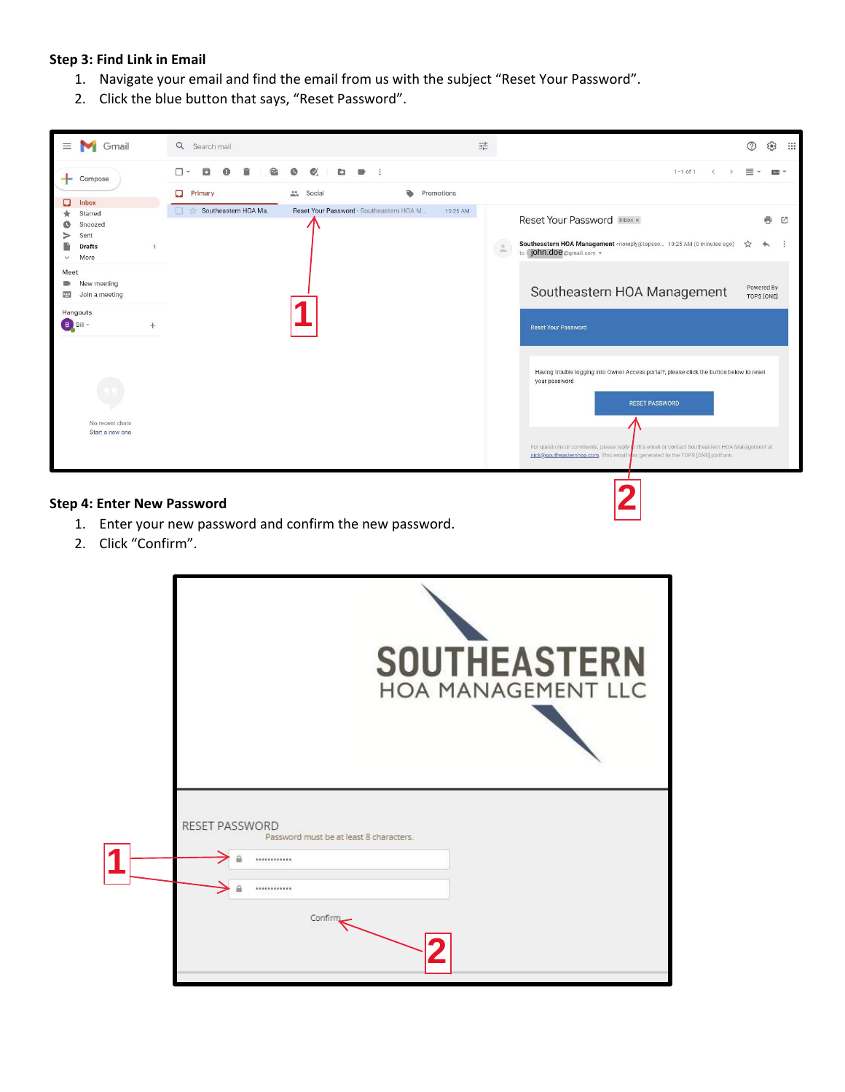### **Step 3: Find Link in Email**

- 1. Navigate your email and find the email from us with the subject "Reset Your Password".
- 2. Click the blue button that says, "Reset Password".



- 1. Enter your new password and confirm the new password.
- 2. Click "Confirm".